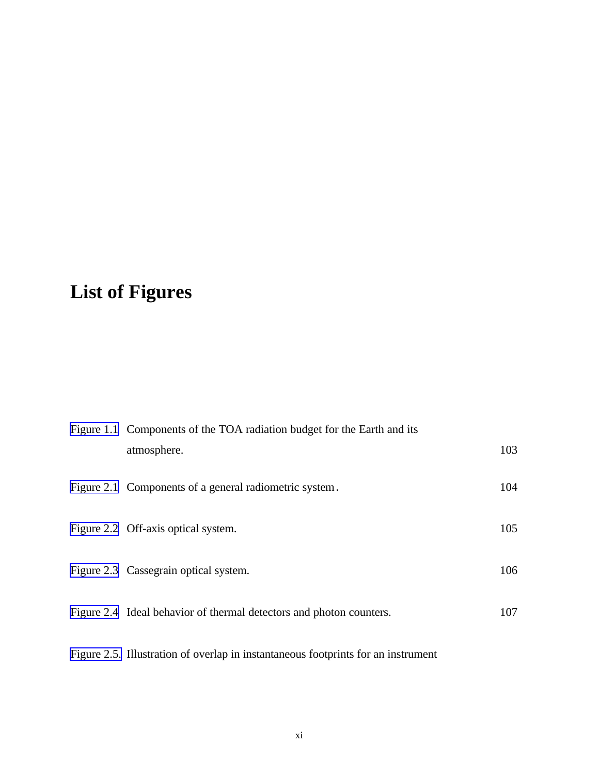## <span id="page-0-0"></span>**List of Figures**

| Figure 1.1 Components of the TOA radiation budget for the Earth and its |     |
|-------------------------------------------------------------------------|-----|
| atmosphere.                                                             | 103 |
| Figure 2.1 Components of a general radiometric system.                  | 104 |
| Figure 2.2 Off-axis optical system.                                     | 105 |
| Figure 2.3 Cassegrain optical system.                                   | 106 |
| Figure 2.4 Ideal behavior of thermal detectors and photon counters.     | 107 |

[Figure 2.5.](#page-5-0) Illustration of overlap in instantaneous footprints for an instrument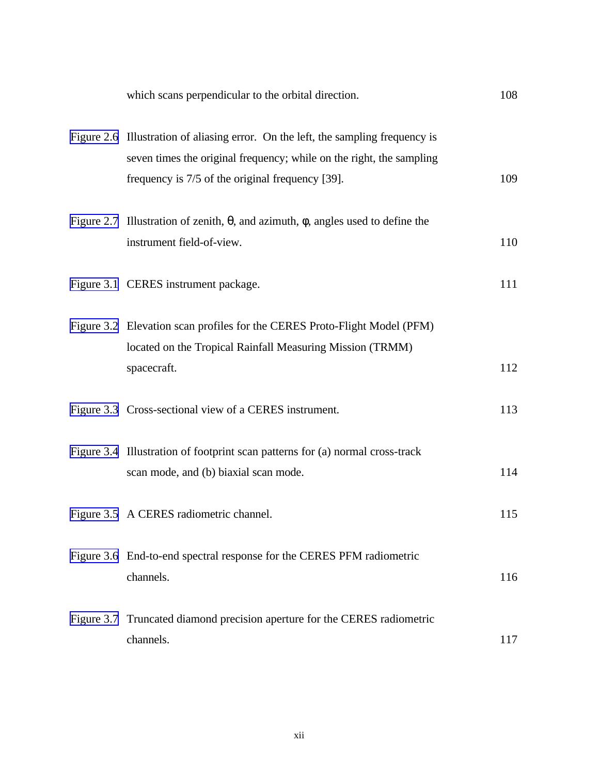<span id="page-1-0"></span>

| which scans perpendicular to the orbital direction.                                                                                                                                                           | 108 |
|---------------------------------------------------------------------------------------------------------------------------------------------------------------------------------------------------------------|-----|
| Figure 2.6 Illustration of aliasing error. On the left, the sampling frequency is<br>seven times the original frequency; while on the right, the sampling<br>frequency is 7/5 of the original frequency [39]. | 109 |
| Figure 2.7 Illustration of zenith, $\theta$ , and azimuth, $\phi$ , angles used to define the<br>instrument field-of-view.                                                                                    | 110 |
| Figure 3.1 CERES instrument package.                                                                                                                                                                          | 111 |
| Figure 3.2 Elevation scan profiles for the CERES Proto-Flight Model (PFM)<br>located on the Tropical Rainfall Measuring Mission (TRMM)<br>spacecraft.                                                         | 112 |
| Figure 3.3 Cross-sectional view of a CERES instrument.                                                                                                                                                        | 113 |
| Figure 3.4 Illustration of footprint scan patterns for (a) normal cross-track<br>scan mode, and (b) biaxial scan mode.                                                                                        | 114 |
| Figure 3.5 A CERES radiometric channel.                                                                                                                                                                       | 115 |
| Figure 3.6 End-to-end spectral response for the CERES PFM radiometric<br>channels.                                                                                                                            | 116 |
| Figure 3.7 Truncated diamond precision aperture for the CERES radiometric<br>channels.                                                                                                                        | 117 |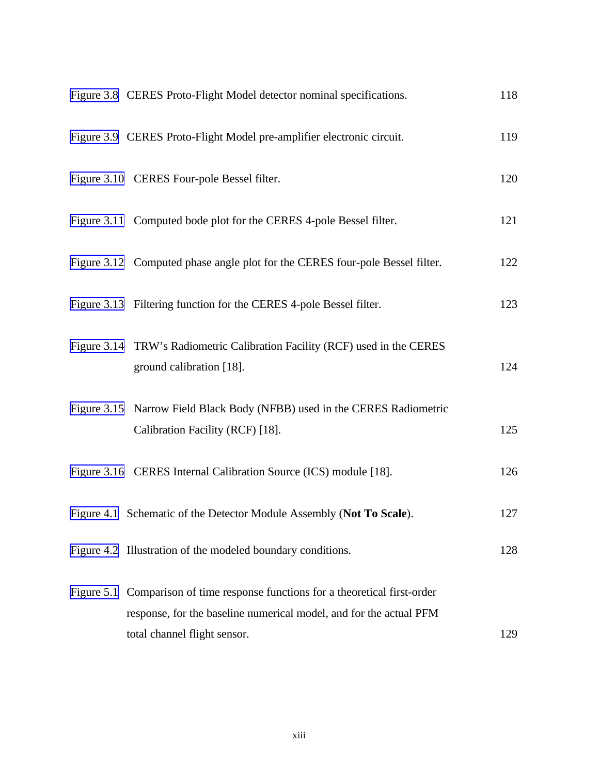<span id="page-2-0"></span>

| Figure 3.8 CERES Proto-Flight Model detector nominal specifications.                                                                                                                 | 118 |
|--------------------------------------------------------------------------------------------------------------------------------------------------------------------------------------|-----|
| Figure 3.9 CERES Proto-Flight Model pre-amplifier electronic circuit.                                                                                                                | 119 |
| Figure 3.10 CERES Four-pole Bessel filter.                                                                                                                                           | 120 |
| Figure 3.11 Computed bode plot for the CERES 4-pole Bessel filter.                                                                                                                   | 121 |
| Figure 3.12 Computed phase angle plot for the CERES four-pole Bessel filter.                                                                                                         | 122 |
| Figure 3.13 Filtering function for the CERES 4-pole Bessel filter.                                                                                                                   | 123 |
| Figure 3.14 TRW's Radiometric Calibration Facility (RCF) used in the CERES<br>ground calibration [18].                                                                               | 124 |
| Figure 3.15 Narrow Field Black Body (NFBB) used in the CERES Radiometric<br>Calibration Facility (RCF) [18].                                                                         | 125 |
| Figure 3.16 CERES Internal Calibration Source (ICS) module [18].                                                                                                                     | 126 |
| Figure 4.1 Schematic of the Detector Module Assembly (Not To Scale).                                                                                                                 | 127 |
| Figure 4.2 Illustration of the modeled boundary conditions.                                                                                                                          | 128 |
| Figure 5.1 Comparison of time response functions for a theoretical first-order<br>response, for the baseline numerical model, and for the actual PFM<br>total channel flight sensor. | 129 |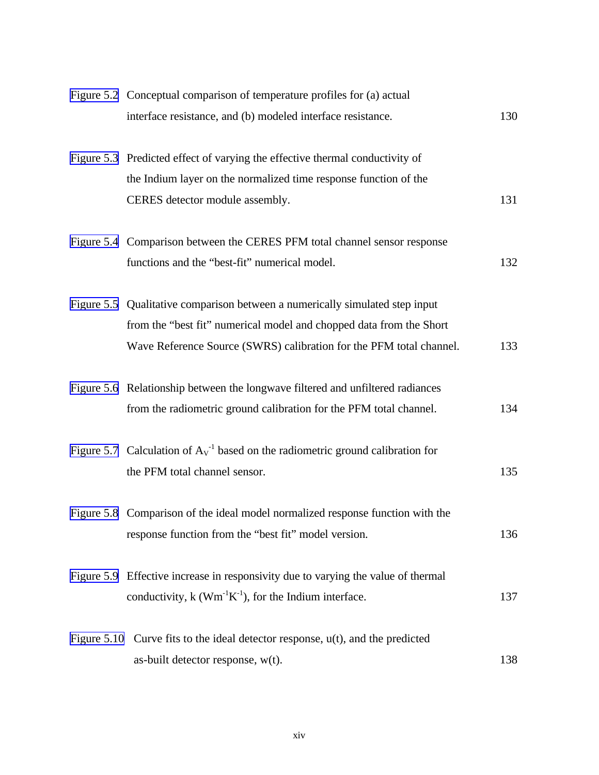<span id="page-3-0"></span>

| Figure 5.2 Conceptual comparison of temperature profiles for (a) actual              |     |
|--------------------------------------------------------------------------------------|-----|
| interface resistance, and (b) modeled interface resistance.                          | 130 |
| Figure 5.3 Predicted effect of varying the effective thermal conductivity of         |     |
| the Indium layer on the normalized time response function of the                     |     |
| CERES detector module assembly.                                                      | 131 |
| Figure 5.4 Comparison between the CERES PFM total channel sensor response            |     |
| functions and the "best-fit" numerical model.                                        | 132 |
| Figure 5.5 Qualitative comparison between a numerically simulated step input         |     |
| from the "best fit" numerical model and chopped data from the Short                  |     |
| Wave Reference Source (SWRS) calibration for the PFM total channel.                  | 133 |
| Figure 5.6 Relationship between the longwave filtered and unfiltered radiances       |     |
| from the radiometric ground calibration for the PFM total channel.                   | 134 |
| Figure 5.7 Calculation of $A_V^{-1}$ based on the radiometric ground calibration for |     |
| the PFM total channel sensor.                                                        | 135 |
| Figure 5.8 Comparison of the ideal model normalized response function with the       |     |
| response function from the "best fit" model version.                                 | 136 |
| Figure 5.9 Effective increase in responsivity due to varying the value of thermal    |     |
| conductivity, $k$ (Wm <sup>-1</sup> K <sup>-1</sup> ), for the Indium interface.     | 137 |
| Figure 5.10 Curve fits to the ideal detector response, $u(t)$ , and the predicted    |     |
| as-built detector response, w(t).                                                    | 138 |
|                                                                                      |     |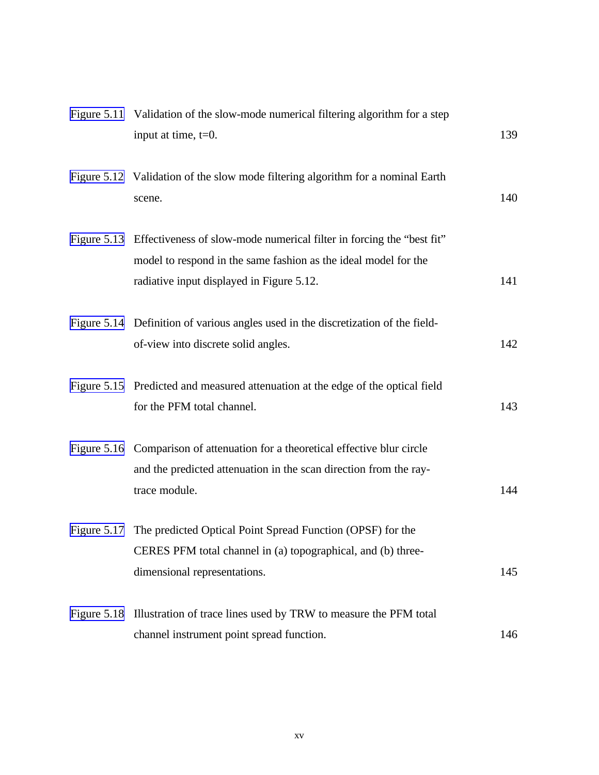<span id="page-4-0"></span>

| Figure 5.11 Validation of the slow-mode numerical filtering algorithm for a step<br>input at time, $t=0$ .                                                                                        | 139 |
|---------------------------------------------------------------------------------------------------------------------------------------------------------------------------------------------------|-----|
| Figure 5.12 Validation of the slow mode filtering algorithm for a nominal Earth<br>scene.                                                                                                         | 140 |
| Figure 5.13 Effectiveness of slow-mode numerical filter in forcing the "best fit"<br>model to respond in the same fashion as the ideal model for the<br>radiative input displayed in Figure 5.12. | 141 |
| Figure 5.14 Definition of various angles used in the discretization of the field-<br>of-view into discrete solid angles.                                                                          | 142 |
| Figure 5.15 Predicted and measured attenuation at the edge of the optical field<br>for the PFM total channel.                                                                                     | 143 |
| Figure 5.16 Comparison of attenuation for a theoretical effective blur circle<br>and the predicted attenuation in the scan direction from the ray-<br>trace module.                               | 144 |
| Figure 5.17 The predicted Optical Point Spread Function (OPSF) for the<br>CERES PFM total channel in (a) topographical, and (b) three-<br>dimensional representations.                            | 145 |
| Figure 5.18 Illustration of trace lines used by TRW to measure the PFM total<br>channel instrument point spread function.                                                                         | 146 |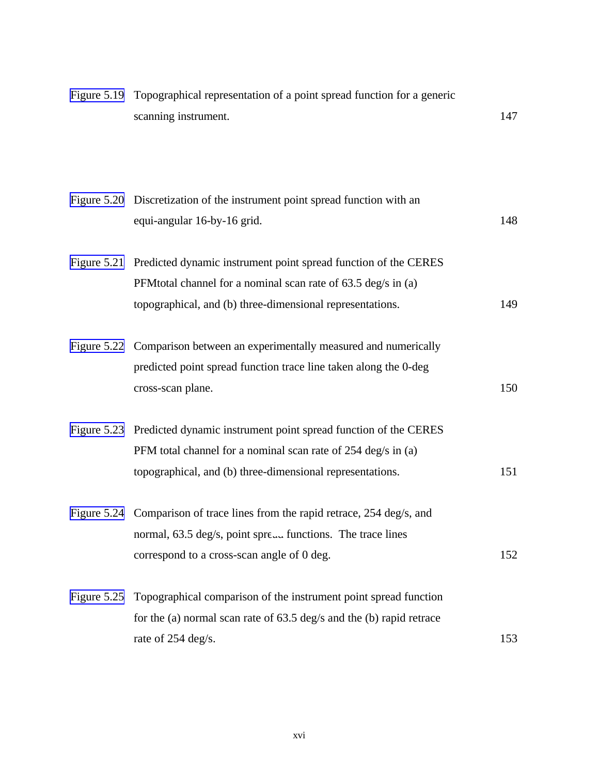<span id="page-5-0"></span>

|             | Figure 5.19 Topographical representation of a point spread function for a generic<br>scanning instrument.                                                                                                  | 147 |
|-------------|------------------------------------------------------------------------------------------------------------------------------------------------------------------------------------------------------------|-----|
|             | Figure 5.20 Discretization of the instrument point spread function with an<br>equi-angular 16-by-16 grid.                                                                                                  | 148 |
|             | Figure 5.21 Predicted dynamic instrument point spread function of the CERES<br>PFM total channel for a nominal scan rate of 63.5 deg/s in (a)<br>topographical, and (b) three-dimensional representations. | 149 |
|             | Figure 5.22 Comparison between an experimentally measured and numerically<br>predicted point spread function trace line taken along the 0-deg<br>cross-scan plane.                                         | 150 |
|             | Figure 5.23 Predicted dynamic instrument point spread function of the CERES<br>PFM total channel for a nominal scan rate of 254 deg/s in (a)<br>topographical, and (b) three-dimensional representations.  | 151 |
|             | Figure 5.24 Comparison of trace lines from the rapid retrace, 254 deg/s, and<br>normal, 63.5 deg/s, point spre, functions. The trace lines<br>correspond to a cross-scan angle of 0 deg.                   | 152 |
| Figure 5.25 | Topographical comparison of the instrument point spread function<br>for the (a) normal scan rate of $63.5 \text{ deg/s}$ and the (b) rapid retrace<br>rate of 254 deg/s.                                   | 153 |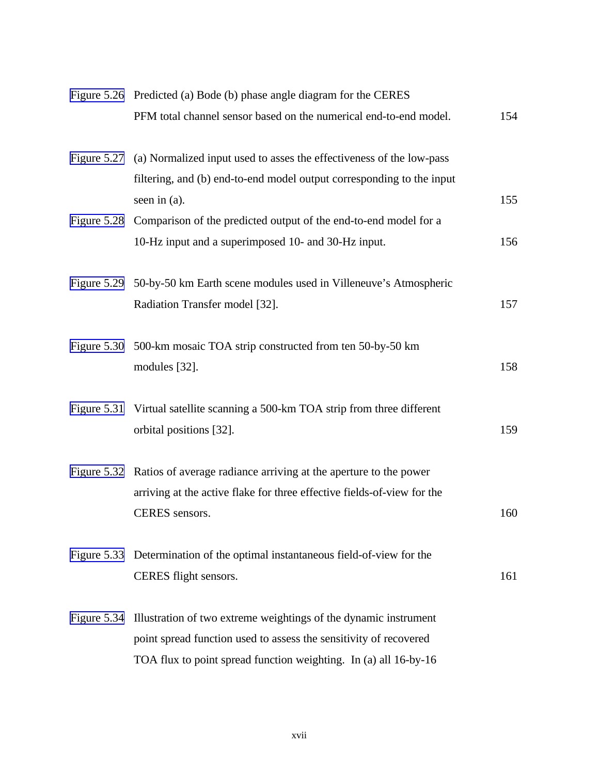<span id="page-6-0"></span>

|             | Figure 5.26 Predicted (a) Bode (b) phase angle diagram for the CERES                     |     |
|-------------|------------------------------------------------------------------------------------------|-----|
|             | PFM total channel sensor based on the numerical end-to-end model.                        | 154 |
|             | Figure 5.27 (a) Normalized input used to asses the effectiveness of the low-pass         |     |
|             | filtering, and (b) end-to-end model output corresponding to the input<br>seen in $(a)$ . | 155 |
|             | Figure 5.28 Comparison of the predicted output of the end-to-end model for a             |     |
|             | 10-Hz input and a superimposed 10- and 30-Hz input.                                      | 156 |
|             | Figure 5.29 50-by-50 km Earth scene modules used in Villeneuve's Atmospheric             |     |
|             | Radiation Transfer model [32].                                                           | 157 |
|             | Figure 5.30 500-km mosaic TOA strip constructed from ten 50-by-50 km                     |     |
|             | modules [32].                                                                            | 158 |
| Figure 5.31 | Virtual satellite scanning a 500-km TOA strip from three different                       |     |
|             | orbital positions [32].                                                                  | 159 |
|             | Figure 5.32 Ratios of average radiance arriving at the aperture to the power             |     |
|             | arriving at the active flake for three effective fields-of-view for the                  |     |
|             | CERES sensors.                                                                           | 160 |
|             | Figure 5.33 Determination of the optimal instantaneous field-of-view for the             |     |
|             | CERES flight sensors.                                                                    | 161 |
|             | Figure 5.34 Illustration of two extreme weightings of the dynamic instrument             |     |
|             | point spread function used to assess the sensitivity of recovered                        |     |
|             | TOA flux to point spread function weighting. In (a) all 16-by-16                         |     |